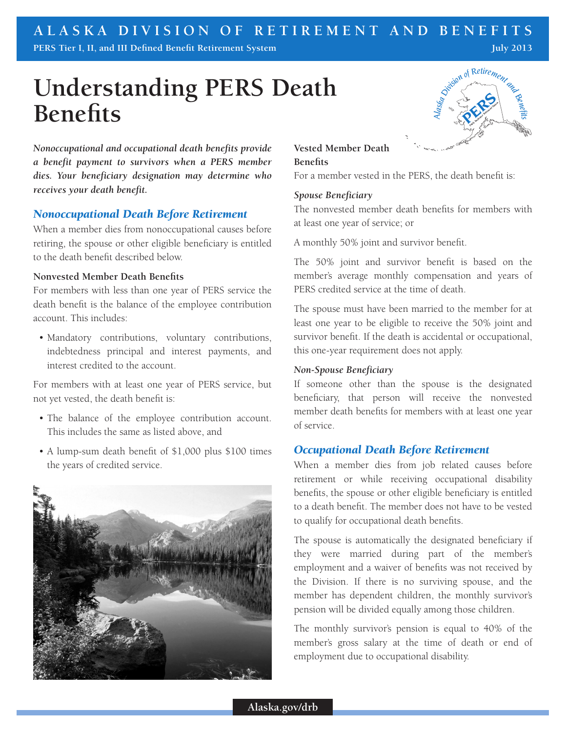# **Understanding PERS Death Benefits**



#### *Nonoccupational Death Before Retirement*

When a member dies from nonoccupational causes before retiring, the spouse or other eligible beneficiary is entitled to the death benefit described below.

#### **Nonvested Member Death Benefits**

For members with less than one year of PERS service the death benefit is the balance of the employee contribution account. This includes:

• Mandatory contributions, voluntary contributions, indebtedness principal and interest payments, and interest credited to the account.

For members with at least one year of PERS service, but not yet vested, the death benefit is:

- The balance of the employee contribution account. This includes the same as listed above, and
- A lump-sum death benefit of \$1,000 plus \$100 times the years of credited service.



# Simbol of Retirement and **Vested Member Death**

## **Benefits**

For a member vested in the PERS, the death benefit is:

#### *Spouse Beneficiary*

The nonvested member death benefits for members with at least one year of service; or

A monthly 50% joint and survivor benefit.

The 50% joint and survivor benefit is based on the member's average monthly compensation and years of PERS credited service at the time of death.

The spouse must have been married to the member for at least one year to be eligible to receive the 50% joint and survivor benefit. If the death is accidental or occupational, this one-year requirement does not apply.

#### *Non-Spouse Beneficiary*

If someone other than the spouse is the designated beneficiary, that person will receive the nonvested member death benefits for members with at least one year of service.

#### *Occupational Death Before Retirement*

When a member dies from job related causes before retirement or while receiving occupational disability benefits, the spouse or other eligible beneficiary is entitled to a death benefit. The member does not have to be vested to qualify for occupational death benefits.

The spouse is automatically the designated beneficiary if they were married during part of the member's employment and a waiver of benefits was not received by the Division. If there is no surviving spouse, and the member has dependent children, the monthly survivor's pension will be divided equally among those children.

The monthly survivor's pension is equal to 40% of the member's gross salary at the time of death or end of employment due to occupational disability.